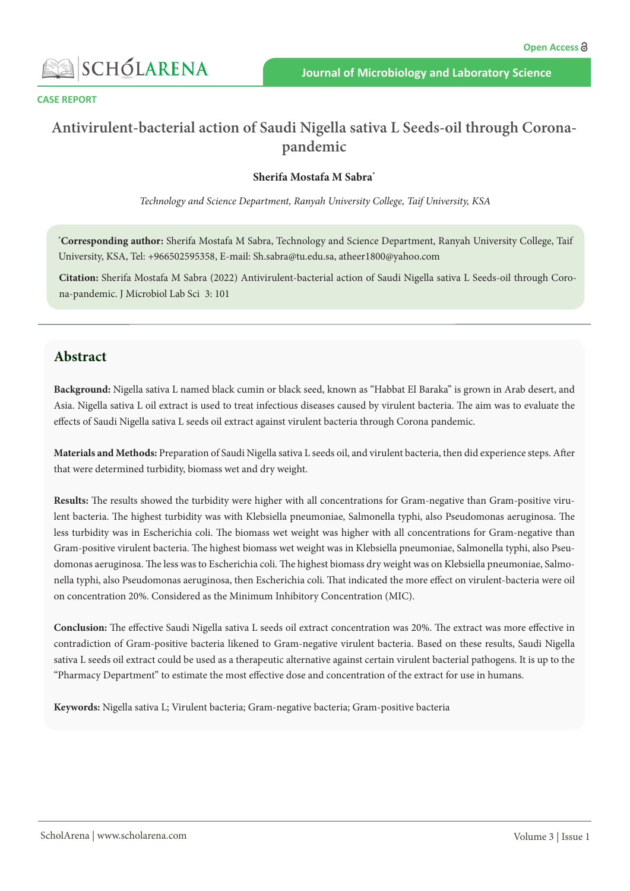

#### **CASE REPORT**

# **Antivirulent-bacterial action of Saudi Nigella sativa L Seeds-oil through Coronapandemic**

#### **Sherifa Mostafa M Sabra\***

*Technology and Science Department, Ranyah University College, Taif University, KSA*

**\* Corresponding author:** Sherifa Mostafa M Sabra, Technology and Science Department, Ranyah University College, Taif University, KSA, Tel: +966502595358, E-mail: Sh.sabra@tu.edu.sa, atheer1800@yahoo.com

**Citation:** Sherifa Mostafa M Sabra (2022) Antivirulent-bacterial action of Saudi Nigella sativa L Seeds-oil through Corona-pandemic. J Microbiol Lab Sci 3: 101

### **Abstract**

**Background:** Nigella sativa L named black cumin or black seed, known as "Habbat El Baraka" is grown in Arab desert, and Asia. Nigella sativa L oil extract is used to treat infectious diseases caused by virulent bacteria. The aim was to evaluate the effects of Saudi Nigella sativa L seeds oil extract against virulent bacteria through Corona pandemic.

**Materials and Methods:** Preparation of Saudi Nigella sativa L seeds oil, and virulent bacteria, then did experience steps. After that were determined turbidity, biomass wet and dry weight.

**Results:** The results showed the turbidity were higher with all concentrations for Gram-negative than Gram-positive virulent bacteria. The highest turbidity was with Klebsiella pneumoniae, Salmonella typhi, also Pseudomonas aeruginosa. The less turbidity was in Escherichia coli. The biomass wet weight was higher with all concentrations for Gram-negative than Gram-positive virulent bacteria. The highest biomass wet weight was in Klebsiella pneumoniae, Salmonella typhi, also Pseudomonas aeruginosa. The less was to Escherichia coli. The highest biomass dry weight was on Klebsiella pneumoniae, Salmonella typhi, also Pseudomonas aeruginosa, then Escherichia coli. That indicated the more effect on virulent-bacteria were oil on concentration 20%. Considered as the Minimum Inhibitory Concentration (MIC).

**Conclusion:** The effective Saudi Nigella sativa L seeds oil extract concentration was 20%. The extract was more effective in contradiction of Gram-positive bacteria likened to Gram-negative virulent bacteria. Based on these results, Saudi Nigella sativa L seeds oil extract could be used as a therapeutic alternative against certain virulent bacterial pathogens. It is up to the "Pharmacy Department" to estimate the most effective dose and concentration of the extract for use in humans.

**Keywords:** Nigella sativa L; Virulent bacteria; Gram-negative bacteria; Gram-positive bacteria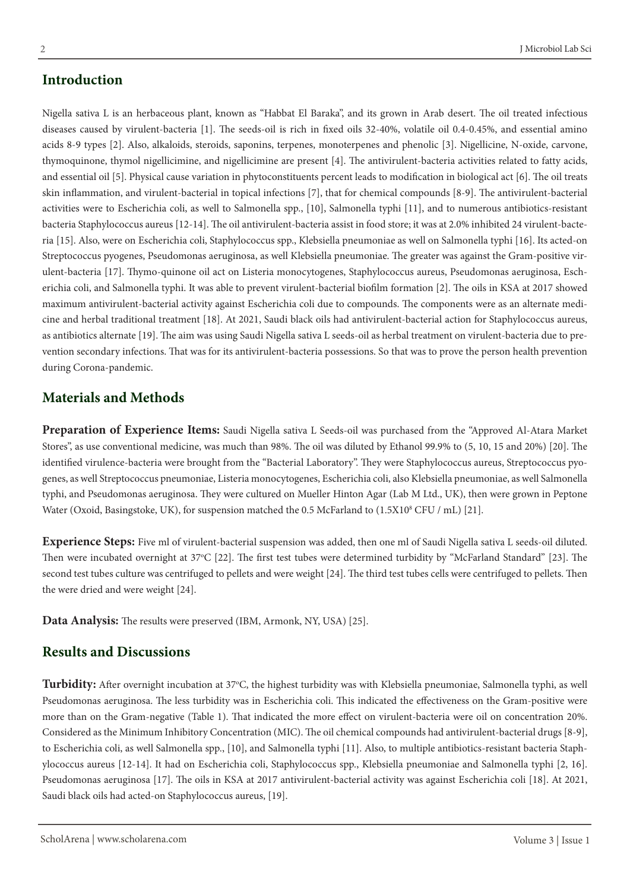#### **Introduction**

Nigella sativa L is an herbaceous plant, known as "Habbat El Baraka", and its grown in Arab desert. The oil treated infectious diseases caused by virulent-bacteria [1]. The seeds-oil is rich in fixed oils 32-40%, volatile oil 0.4-0.45%, and essential amino acids 8-9 types [2]. Also, alkaloids, steroids, saponins, terpenes, monoterpenes and phenolic [3]. Nigellicine, N-oxide, carvone, thymoquinone, thymol nigellicimine, and nigellicimine are present [4]. The antivirulent-bacteria activities related to fatty acids, and essential oil [5]. Physical cause variation in phytoconstituents percent leads to modification in biological act [6]. The oil treats skin inflammation, and virulent-bacterial in topical infections [7], that for chemical compounds [8-9]. The antivirulent-bacterial activities were to Escherichia coli, as well to Salmonella spp., [10], Salmonella typhi [11], and to numerous antibiotics-resistant bacteria Staphylococcus aureus [12-14]. The oil antivirulent-bacteria assist in food store; it was at 2.0% inhibited 24 virulent-bacteria [15]. Also, were on Escherichia coli, Staphylococcus spp., Klebsiella pneumoniae as well on Salmonella typhi [16]. Its acted-on Streptococcus pyogenes, Pseudomonas aeruginosa, as well Klebsiella pneumoniae. The greater was against the Gram-positive virulent-bacteria [17]. Thymo-quinone oil act on Listeria monocytogenes, Staphylococcus aureus, Pseudomonas aeruginosa, Escherichia coli, and Salmonella typhi. It was able to prevent virulent-bacterial biofilm formation [2]. The oils in KSA at 2017 showed maximum antivirulent-bacterial activity against Escherichia coli due to compounds. The components were as an alternate medicine and herbal traditional treatment [18]. At 2021, Saudi black oils had antivirulent-bacterial action for Staphylococcus aureus, as antibiotics alternate [19]. The aim was using Saudi Nigella sativa L seeds-oil as herbal treatment on virulent-bacteria due to prevention secondary infections. That was for its antivirulent-bacteria possessions. So that was to prove the person health prevention during Corona-pandemic.

#### **Materials and Methods**

**Preparation of Experience Items:** Saudi Nigella sativa L Seeds-oil was purchased from the "Approved Al-Atara Market Stores", as use conventional medicine, was much than 98%. The oil was diluted by Ethanol 99.9% to (5, 10, 15 and 20%) [20]. The identified virulence-bacteria were brought from the "Bacterial Laboratory". They were Staphylococcus aureus, Streptococcus pyogenes, as well Streptococcus pneumoniae, Listeria monocytogenes, Escherichia coli, also Klebsiella pneumoniae, as well Salmonella typhi, and Pseudomonas aeruginosa. They were cultured on Mueller Hinton Agar (Lab M Ltd., UK), then were grown in Peptone Water (Oxoid, Basingstoke, UK), for suspension matched the 0.5 McFarland to (1.5X10<sup>8</sup> CFU / mL) [21].

**Experience Steps:** Five ml of virulent-bacterial suspension was added, then one ml of Saudi Nigella sativa L seeds-oil diluted. Then were incubated overnight at 37°C [22]. The first test tubes were determined turbidity by "McFarland Standard" [23]. The second test tubes culture was centrifuged to pellets and were weight [24]. The third test tubes cells were centrifuged to pellets. Then the were dried and were weight [24].

**Data Analysis:** The results were preserved (IBM, Armonk, NY, USA) [25].

#### **Results and Discussions**

Turbidity: After overnight incubation at 37°C, the highest turbidity was with Klebsiella pneumoniae, Salmonella typhi, as well Pseudomonas aeruginosa. The less turbidity was in Escherichia coli. This indicated the effectiveness on the Gram-positive were more than on the Gram-negative (Table 1). That indicated the more effect on virulent-bacteria were oil on concentration 20%. Considered as the Minimum Inhibitory Concentration (MIC). The oil chemical compounds had antivirulent-bacterial drugs [8-9], to Escherichia coli, as well Salmonella spp., [10], and Salmonella typhi [11]. Also, to multiple antibiotics-resistant bacteria Staphylococcus aureus [12-14]. It had on Escherichia coli, Staphylococcus spp., Klebsiella pneumoniae and Salmonella typhi [2, 16]. Pseudomonas aeruginosa [17]. The oils in KSA at 2017 antivirulent-bacterial activity was against Escherichia coli [18]. At 2021, Saudi black oils had acted-on Staphylococcus aureus, [19].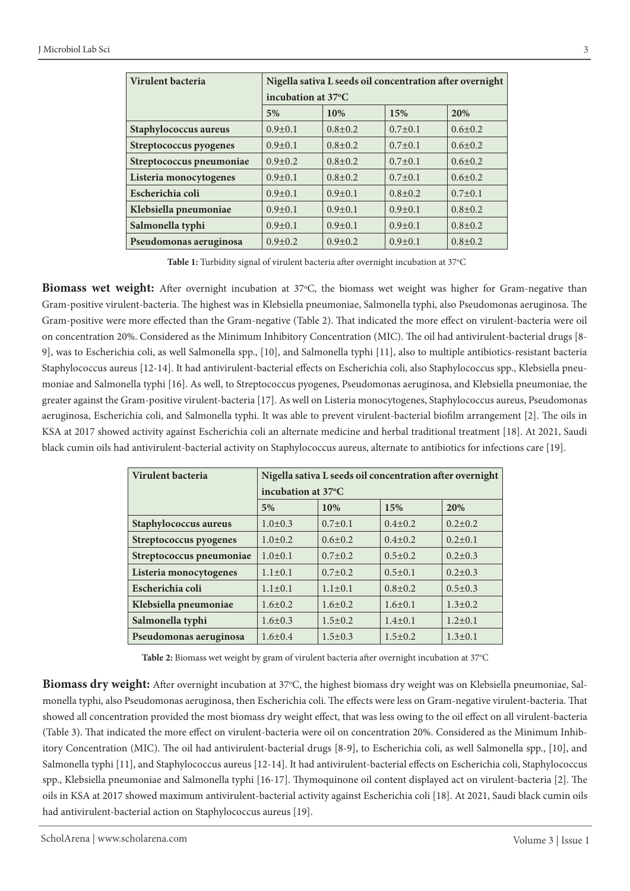| Virulent bacteria             | Nigella sativa L seeds oil concentration after overnight |               |               |               |  |
|-------------------------------|----------------------------------------------------------|---------------|---------------|---------------|--|
|                               | incubation at 37°C                                       |               |               |               |  |
|                               | 5%                                                       | 10%           | 15%           | 20%           |  |
| Staphylococcus aureus         | $0.9 \pm 0.1$                                            | $0.8 \pm 0.2$ | $0.7 \pm 0.1$ | $0.6 \pm 0.2$ |  |
| <b>Streptococcus pyogenes</b> | $0.9 \pm 0.1$                                            | $0.8 \pm 0.2$ | $0.7 \pm 0.1$ | $0.6 \pm 0.2$ |  |
| Streptococcus pneumoniae      | $0.9 \pm 0.2$                                            | $0.8 \pm 0.2$ | $0.7 \pm 0.1$ | $0.6 \pm 0.2$ |  |
| Listeria monocytogenes        | $0.9 \pm 0.1$                                            | $0.8 \pm 0.2$ | $0.7 \pm 0.1$ | $0.6 \pm 0.2$ |  |
| Escherichia coli              | $0.9 \pm 0.1$                                            | $0.9 \pm 0.1$ | $0.8 \pm 0.2$ | $0.7 \pm 0.1$ |  |
| Klebsiella pneumoniae         | $0.9 \pm 0.1$                                            | $0.9 \pm 0.1$ | $0.9 \pm 0.1$ | $0.8 \pm 0.2$ |  |
| Salmonella typhi              | $0.9 \pm 0.1$                                            | $0.9 \pm 0.1$ | $0.9 \pm 0.1$ | $0.8 \pm 0.2$ |  |
| Pseudomonas aeruginosa        | $0.9 \pm 0.2$                                            | $0.9 \pm 0.2$ | $0.9 \pm 0.1$ | $0.8 \pm 0.2$ |  |

Table 1: Turbidity signal of virulent bacteria after overnight incubation at 37°C

Biomass wet weight: After overnight incubation at 37°C, the biomass wet weight was higher for Gram-negative than Gram-positive virulent-bacteria. The highest was in Klebsiella pneumoniae, Salmonella typhi, also Pseudomonas aeruginosa. The Gram-positive were more effected than the Gram-negative (Table 2). That indicated the more effect on virulent-bacteria were oil on concentration 20%. Considered as the Minimum Inhibitory Concentration (MIC). The oil had antivirulent-bacterial drugs [8- 9], was to Escherichia coli, as well Salmonella spp., [10], and Salmonella typhi [11], also to multiple antibiotics-resistant bacteria Staphylococcus aureus [12-14]. It had antivirulent-bacterial effects on Escherichia coli, also Staphylococcus spp., Klebsiella pneumoniae and Salmonella typhi [16]. As well, to Streptococcus pyogenes, Pseudomonas aeruginosa, and Klebsiella pneumoniae, the greater against the Gram-positive virulent-bacteria [17]. As well on Listeria monocytogenes, Staphylococcus aureus, Pseudomonas aeruginosa, Escherichia coli, and Salmonella typhi. It was able to prevent virulent-bacterial biofilm arrangement [2]. The oils in KSA at 2017 showed activity against Escherichia coli an alternate medicine and herbal traditional treatment [18]. At 2021, Saudi black cumin oils had antivirulent-bacterial activity on Staphylococcus aureus, alternate to antibiotics for infections care [19].

| Virulent bacteria        | Nigella sativa L seeds oil concentration after overnight |               |               |               |  |
|--------------------------|----------------------------------------------------------|---------------|---------------|---------------|--|
|                          | incubation at 37°C                                       |               |               |               |  |
|                          | 5%                                                       | 10%           | 15%           | 20%           |  |
| Staphylococcus aureus    | $1.0 \pm 0.3$                                            | $0.7 \pm 0.1$ | $0.4 \pm 0.2$ | $0.2 \pm 0.2$ |  |
| Streptococcus pyogenes   | $1.0 \pm 0.2$                                            | $0.6 \pm 0.2$ | $0.4 \pm 0.2$ | $0.2 \pm 0.1$ |  |
| Streptococcus pneumoniae | $1.0\pm0.1$                                              | $0.7 \pm 0.2$ | $0.5 \pm 0.2$ | $0.2 \pm 0.3$ |  |
| Listeria monocytogenes   | $1.1 \pm 0.1$                                            | $0.7 \pm 0.2$ | $0.5 \pm 0.1$ | $0.2 \pm 0.3$ |  |
| Escherichia coli         | $1.1 \pm 0.1$                                            | $1.1 \pm 0.1$ | $0.8 \pm 0.2$ | $0.5 \pm 0.3$ |  |
| Klebsiella pneumoniae    | $1.6 \pm 0.2$                                            | $1.6 \pm 0.2$ | $1.6 \pm 0.1$ | $1.3 \pm 0.2$ |  |
| Salmonella typhi         | $1.6 \pm 0.3$                                            | $1.5 \pm 0.2$ | $1.4 \pm 0.1$ | $1.2 \pm 0.1$ |  |
| Pseudomonas aeruginosa   | $1.6 \pm 0.4$                                            | $1.5 \pm 0.3$ | $1.5 \pm 0.2$ | $1.3 \pm 0.1$ |  |

Table 2: Biomass wet weight by gram of virulent bacteria after overnight incubation at 37°C

**Biomass dry weight:** After overnight incubation at 37°C, the highest biomass dry weight was on Klebsiella pneumoniae, Salmonella typhi, also Pseudomonas aeruginosa, then Escherichia coli. The effects were less on Gram-negative virulent-bacteria. That showed all concentration provided the most biomass dry weight effect, that was less owing to the oil effect on all virulent-bacteria (Table 3). That indicated the more effect on virulent-bacteria were oil on concentration 20%. Considered as the Minimum Inhibitory Concentration (MIC). The oil had antivirulent-bacterial drugs [8-9], to Escherichia coli, as well Salmonella spp., [10], and Salmonella typhi [11], and Staphylococcus aureus [12-14]. It had antivirulent-bacterial effects on Escherichia coli, Staphylococcus spp., Klebsiella pneumoniae and Salmonella typhi [16-17]. Thymoquinone oil content displayed act on virulent-bacteria [2]. The oils in KSA at 2017 showed maximum antivirulent-bacterial activity against Escherichia coli [18]. At 2021, Saudi black cumin oils had antivirulent-bacterial action on Staphylococcus aureus [19].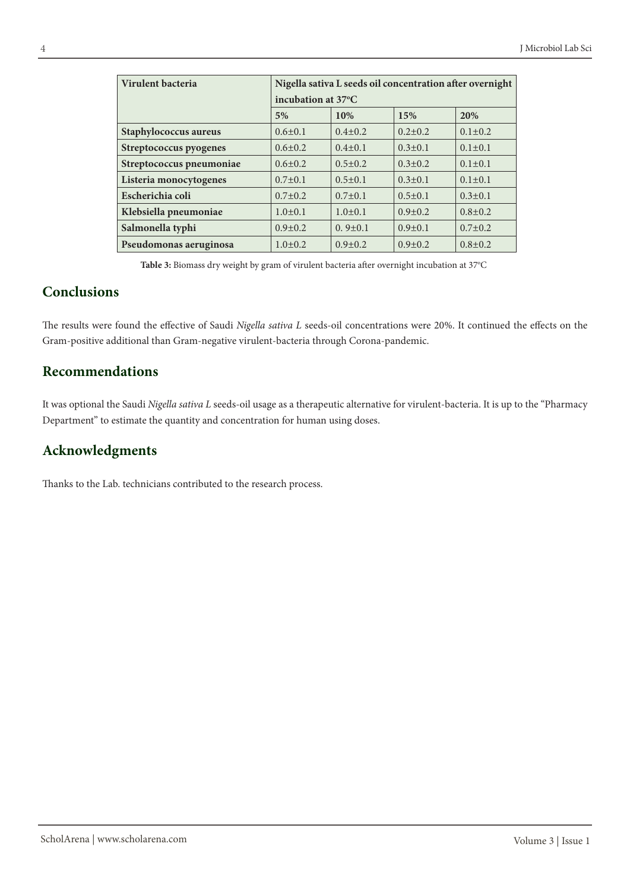| Virulent bacteria        | Nigella sativa L seeds oil concentration after overnight |               |               |               |  |
|--------------------------|----------------------------------------------------------|---------------|---------------|---------------|--|
|                          | incubation at 37°C                                       |               |               |               |  |
|                          | 5%                                                       | 10%           | 15%           | 20%           |  |
| Staphylococcus aureus    | $0.6 \pm 0.1$                                            | $0.4 \pm 0.2$ | $0.2 \pm 0.2$ | $0.1 \pm 0.2$ |  |
| Streptococcus pyogenes   | $0.6 \pm 0.2$                                            | $0.4 \pm 0.1$ | $0.3 \pm 0.1$ | $0.1 \pm 0.1$ |  |
| Streptococcus pneumoniae | $0.6 \pm 0.2$                                            | $0.5 \pm 0.2$ | $0.3 \pm 0.2$ | $0.1 \pm 0.1$ |  |
| Listeria monocytogenes   | $0.7 \pm 0.1$                                            | $0.5 \pm 0.1$ | $0.3 \pm 0.1$ | $0.1 \pm 0.1$ |  |
| Escherichia coli         | $0.7 \pm 0.2$                                            | $0.7 \pm 0.1$ | $0.5 \pm 0.1$ | $0.3 \pm 0.1$ |  |
| Klebsiella pneumoniae    | $1.0\pm0.1$                                              | $1.0 \pm 0.1$ | $0.9 \pm 0.2$ | $0.8 \pm 0.2$ |  |
| Salmonella typhi         | $0.9 \pm 0.2$                                            | $0.9 \pm 0.1$ | $0.9 \pm 0.1$ | $0.7 \pm 0.2$ |  |
| Pseudomonas aeruginosa   | $1.0\pm0.2$                                              | $0.9 \pm 0.2$ | $0.9 \pm 0.2$ | $0.8 \pm 0.2$ |  |

Table 3: Biomass dry weight by gram of virulent bacteria after overnight incubation at 37°C

## **Conclusions**

The results were found the effective of Saudi *Nigella sativa L* seeds-oil concentrations were 20%. It continued the effects on the Gram-positive additional than Gram-negative virulent-bacteria through Corona-pandemic.

## **Recommendations**

It was optional the Saudi *Nigella sativa L* seeds-oil usage as a therapeutic alternative for virulent-bacteria. It is up to the "Pharmacy Department" to estimate the quantity and concentration for human using doses.

# **Acknowledgments**

Thanks to the Lab. technicians contributed to the research process.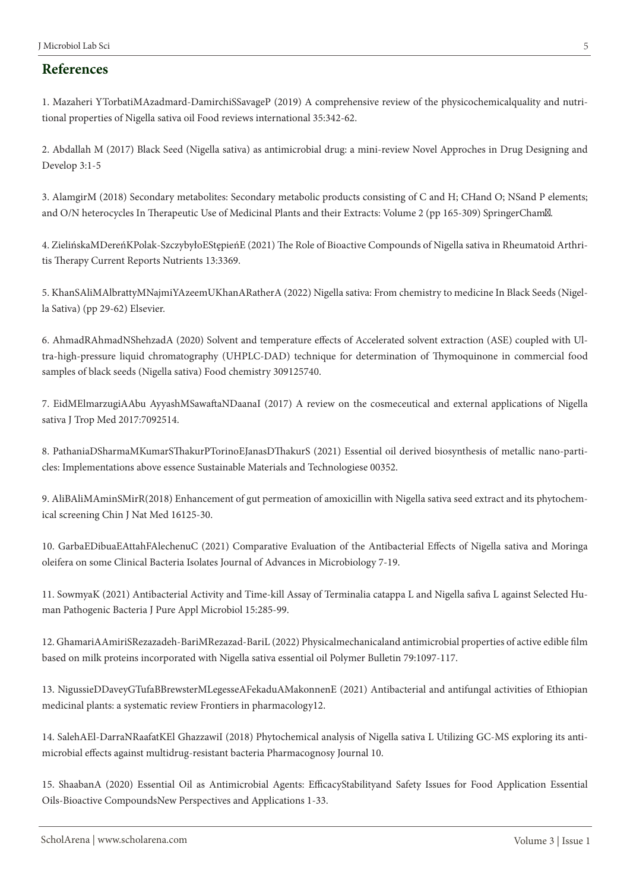#### **References**

1. Mazaheri YTorbatiMAzadmard-DamirchiSSavageP (2019) A comprehensive review of the physicochemicalquality and nutritional properties of Nigella sativa oil Food reviews international 35:342-62.

2. Abdallah M (2017) Black Seed (Nigella sativa) as antimicrobial drug: a mini-review Novel Approches in Drug Designing and Develop 3:1-5

3. AlamgirM (2018) Secondary metabolites: Secondary metabolic products consisting of C and H; CHand O; NSand P elements; and O/N heterocycles In Therapeutic Use of Medicinal Plants and their Extracts: Volume 2 (pp 165-309) SpringerCham.

4. ZielińskaMDereńKPolak-SzczybyłoEStępieńE (2021) The Role of Bioactive Compounds of Nigella sativa in Rheumatoid Arthritis Therapy Current Reports Nutrients 13:3369.

5. KhanSAliMAlbrattyMNajmiYAzeemUKhanARatherA (2022) Nigella sativa: From chemistry to medicine In Black Seeds (Nigella Sativa) (pp 29-62) Elsevier.

6. AhmadRAhmadNShehzadA (2020) Solvent and temperature effects of Accelerated solvent extraction (ASE) coupled with Ultra-high-pressure liquid chromatography (UHPLC-DAD) technique for determination of Thymoquinone in commercial food samples of black seeds (Nigella sativa) Food chemistry 309125740.

7. EidMElmarzugiAAbu AyyashMSawaftaNDaanaI (2017) A review on the cosmeceutical and external applications of Nigella sativa J Trop Med 2017:7092514.

8. PathaniaDSharmaMKumarSThakurPTorinoEJanasDThakurS (2021) Essential oil derived biosynthesis of metallic nano-particles: Implementations above essence Sustainable Materials and Technologiese 00352.

9. AliBAliMAminSMirR(2018) Enhancement of gut permeation of amoxicillin with Nigella sativa seed extract and its phytochemical screening Chin J Nat Med 16125-30.

10. GarbaEDibuaEAttahFAlechenuC (2021) Comparative Evaluation of the Antibacterial Effects of Nigella sativa and Moringa oleifera on some Clinical Bacteria Isolates Journal of Advances in Microbiology 7-19.

11. SowmyaK (2021) Antibacterial Activity and Time-kill Assay of Terminalia catappa L and Nigella safiva L against Selected Human Pathogenic Bacteria J Pure Appl Microbiol 15:285-99.

12. GhamariAAmiriSRezazadeh-BariMRezazad-BariL (2022) Physicalmechanicaland antimicrobial properties of active edible film based on milk proteins incorporated with Nigella sativa essential oil Polymer Bulletin 79:1097-117.

13. NigussieDDaveyGTufaBBrewsterMLegesseAFekaduAMakonnenE (2021) Antibacterial and antifungal activities of Ethiopian medicinal plants: a systematic review Frontiers in pharmacology12.

14. SalehAEl-DarraNRaafatKEl GhazzawiI (2018) Phytochemical analysis of Nigella sativa L Utilizing GC-MS exploring its antimicrobial effects against multidrug-resistant bacteria Pharmacognosy Journal 10.

15. ShaabanA (2020) Essential Oil as Antimicrobial Agents: EfficacyStabilityand Safety Issues for Food Application Essential Oils-Bioactive CompoundsNew Perspectives and Applications 1-33.